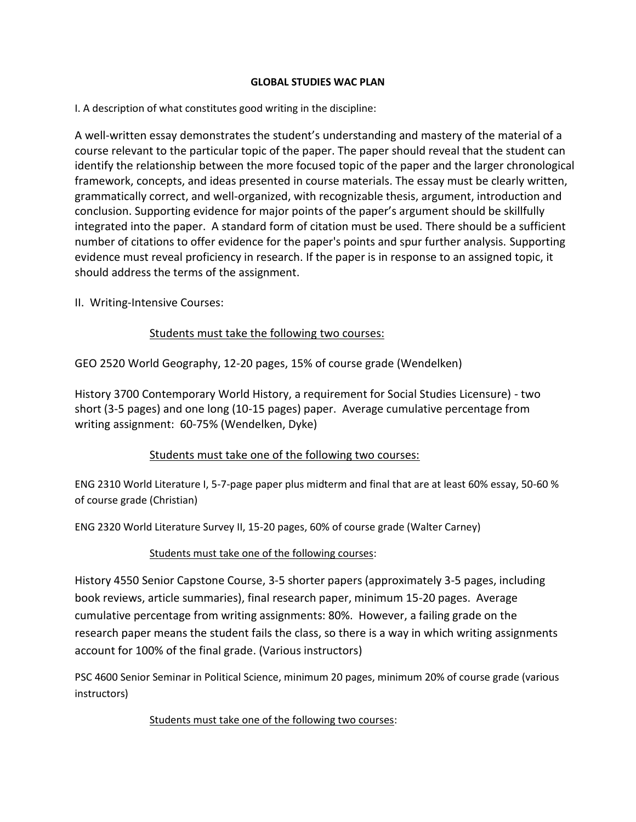### **GLOBAL STUDIES WAC PLAN**

I. A description of what constitutes good writing in the discipline:

A well-written essay demonstrates the student's understanding and mastery of the material of a course relevant to the particular topic of the paper. The paper should reveal that the student can identify the relationship between the more focused topic of the paper and the larger chronological framework, concepts, and ideas presented in course materials. The essay must be clearly written, grammatically correct, and well-organized, with recognizable thesis, argument, introduction and conclusion. Supporting evidence for major points of the paper's argument should be skillfully integrated into the paper. A standard form of citation must be used. There should be a sufficient number of citations to offer evidence for the paper's points and spur further analysis. Supporting evidence must reveal proficiency in research. If the paper is in response to an assigned topic, it should address the terms of the assignment.

II. Writing-Intensive Courses:

## Students must take the following two courses:

GEO 2520 World Geography, 12-20 pages, 15% of course grade (Wendelken)

History 3700 Contemporary World History, a requirement for Social Studies Licensure) - two short (3-5 pages) and one long (10-15 pages) paper. Average cumulative percentage from writing assignment: 60-75% (Wendelken, Dyke)

## Students must take one of the following two courses:

ENG 2310 World Literature I, 5-7-page paper plus midterm and final that are at least 60% essay, 50-60 % of course grade (Christian)

ENG 2320 World Literature Survey II, 15-20 pages, 60% of course grade (Walter Carney)

## Students must take one of the following courses:

History 4550 Senior Capstone Course, 3-5 shorter papers (approximately 3-5 pages, including book reviews, article summaries), final research paper, minimum 15-20 pages. Average cumulative percentage from writing assignments: 80%. However, a failing grade on the research paper means the student fails the class, so there is a way in which writing assignments account for 100% of the final grade. (Various instructors)

PSC 4600 Senior Seminar in Political Science, minimum 20 pages, minimum 20% of course grade (various instructors)

## Students must take one of the following two courses: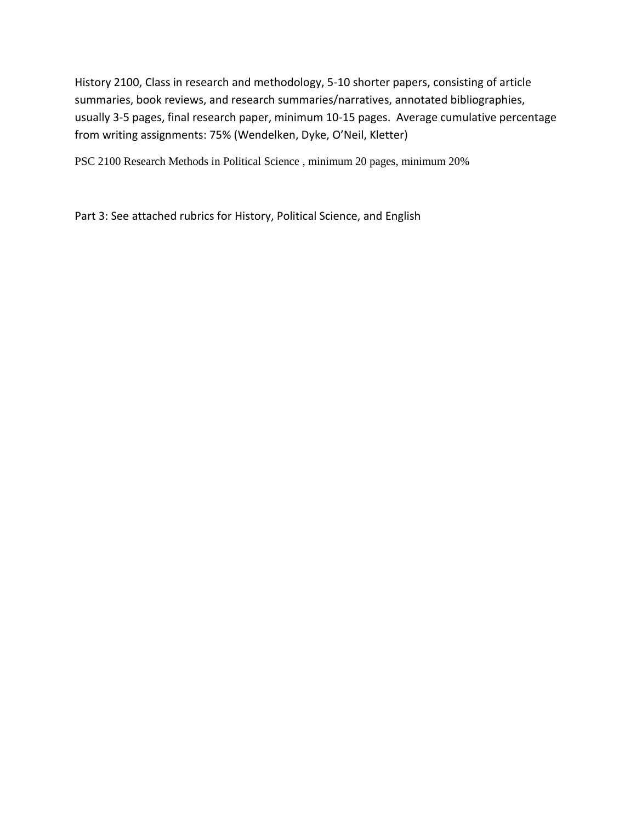History 2100, Class in research and methodology, 5-10 shorter papers, consisting of article summaries, book reviews, and research summaries/narratives, annotated bibliographies, usually 3-5 pages, final research paper, minimum 10-15 pages. Average cumulative percentage from writing assignments: 75% (Wendelken, Dyke, O'Neil, Kletter)

PSC 2100 Research Methods in Political Science , minimum 20 pages, minimum 20%

Part 3: See attached rubrics for History, Political Science, and English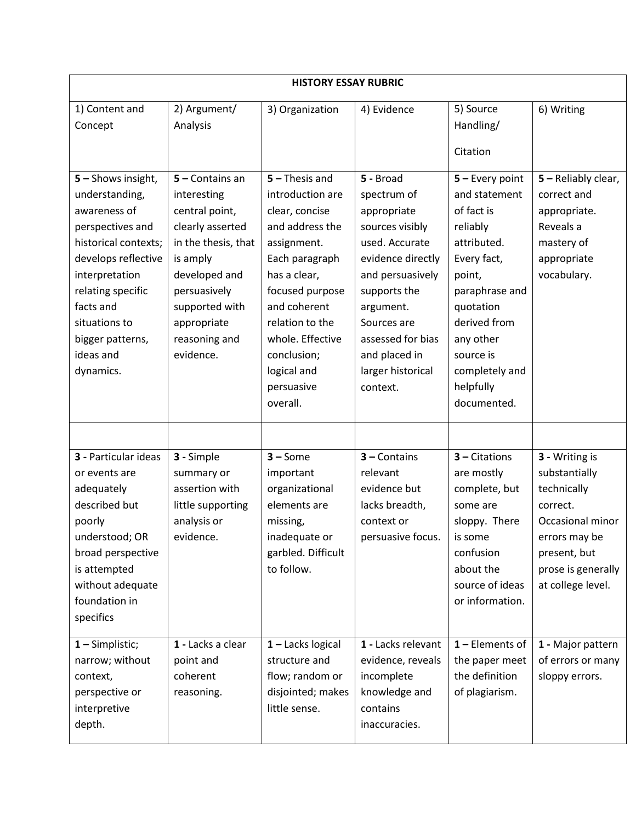| <b>HISTORY ESSAY RUBRIC</b>                                                                                                                                                                                                                |                                                                                                                                                                                                         |                                                                                                                                                                                                                                                              |                                                                                                                                                                                                                                          |                                                                                                                                                                                                                             |                                                                                                                                                            |  |  |  |  |
|--------------------------------------------------------------------------------------------------------------------------------------------------------------------------------------------------------------------------------------------|---------------------------------------------------------------------------------------------------------------------------------------------------------------------------------------------------------|--------------------------------------------------------------------------------------------------------------------------------------------------------------------------------------------------------------------------------------------------------------|------------------------------------------------------------------------------------------------------------------------------------------------------------------------------------------------------------------------------------------|-----------------------------------------------------------------------------------------------------------------------------------------------------------------------------------------------------------------------------|------------------------------------------------------------------------------------------------------------------------------------------------------------|--|--|--|--|
| 1) Content and<br>Concept                                                                                                                                                                                                                  | 2) Argument/<br>Analysis                                                                                                                                                                                | 3) Organization                                                                                                                                                                                                                                              | 4) Evidence                                                                                                                                                                                                                              | 5) Source<br>Handling/<br>Citation                                                                                                                                                                                          | 6) Writing                                                                                                                                                 |  |  |  |  |
| 5 - Shows insight,<br>understanding,<br>awareness of<br>perspectives and<br>historical contexts;<br>develops reflective<br>interpretation<br>relating specific<br>facts and<br>situations to<br>bigger patterns,<br>ideas and<br>dynamics. | 5 - Contains an<br>interesting<br>central point,<br>clearly asserted<br>in the thesis, that<br>is amply<br>developed and<br>persuasively<br>supported with<br>appropriate<br>reasoning and<br>evidence. | $5 -$ Thesis and<br>introduction are<br>clear, concise<br>and address the<br>assignment.<br>Each paragraph<br>has a clear,<br>focused purpose<br>and coherent<br>relation to the<br>whole. Effective<br>conclusion;<br>logical and<br>persuasive<br>overall. | 5 - Broad<br>spectrum of<br>appropriate<br>sources visibly<br>used. Accurate<br>evidence directly<br>and persuasively<br>supports the<br>argument.<br>Sources are<br>assessed for bias<br>and placed in<br>larger historical<br>context. | $5 -$ Every point<br>and statement<br>of fact is<br>reliably<br>attributed.<br>Every fact,<br>point,<br>paraphrase and<br>quotation<br>derived from<br>any other<br>source is<br>completely and<br>helpfully<br>documented. | 5 - Reliably clear,<br>correct and<br>appropriate.<br>Reveals a<br>mastery of<br>appropriate<br>vocabulary.                                                |  |  |  |  |
| 3 - Particular ideas<br>or events are<br>adequately<br>described but<br>poorly<br>understood; OR<br>broad perspective<br>is attempted<br>without adequate<br>foundation in<br>specifics                                                    | 3 - Simple<br>summary or<br>assertion with<br>little supporting<br>analysis or<br>evidence.                                                                                                             | $3 - Some$<br>important<br>organizational<br>elements are<br>missing,<br>inadequate or<br>garbled. Difficult<br>to follow.                                                                                                                                   | $3$ – Contains<br>relevant<br>evidence but<br>lacks breadth,<br>context or<br>persuasive focus.                                                                                                                                          | $3$ – Citations<br>are mostly<br>complete, but<br>some are<br>sloppy. There<br>is some<br>confusion<br>about the<br>source of ideas<br>or information.                                                                      | 3 - Writing is<br>substantially<br>technically<br>correct.<br>Occasional minor<br>errors may be<br>present, but<br>prose is generally<br>at college level. |  |  |  |  |
| $1 -$ Simplistic;<br>narrow; without<br>context,<br>perspective or<br>interpretive<br>depth.                                                                                                                                               | 1 - Lacks a clear<br>point and<br>coherent<br>reasoning.                                                                                                                                                | $1 -$ Lacks logical<br>structure and<br>flow; random or<br>disjointed; makes<br>little sense.                                                                                                                                                                | 1 - Lacks relevant<br>evidence, reveals<br>incomplete<br>knowledge and<br>contains<br>inaccuracies.                                                                                                                                      | $1$ – Elements of<br>the paper meet<br>the definition<br>of plagiarism.                                                                                                                                                     | 1 - Major pattern<br>of errors or many<br>sloppy errors.                                                                                                   |  |  |  |  |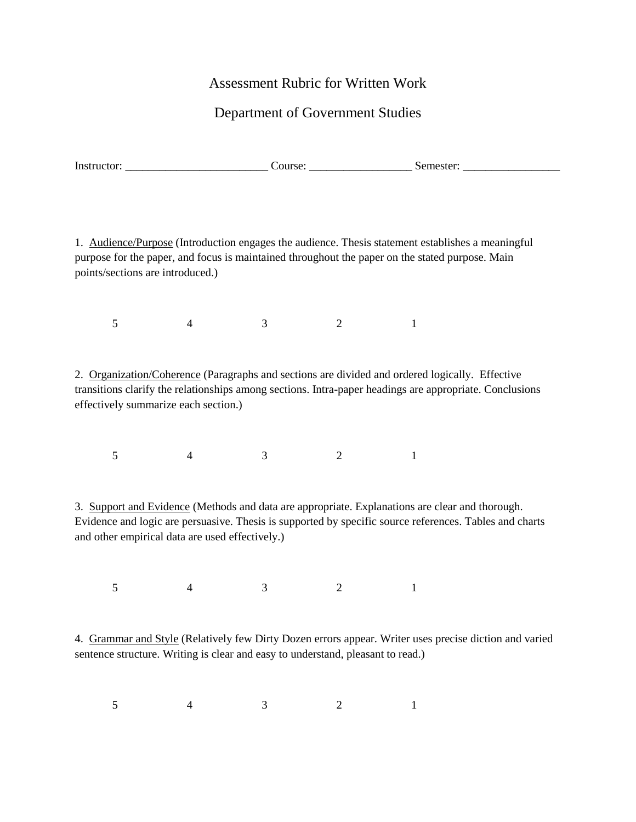## Assessment Rubric for Written Work

# Department of Government Studies

| nи.<br>.<br>.<br>. | $\tilde{\phantom{a}}$<br>Inst | -<br>וור | пе<br>. SE |
|--------------------|-------------------------------|----------|------------|
|--------------------|-------------------------------|----------|------------|

1. Audience/Purpose (Introduction engages the audience. Thesis statement establishes a meaningful purpose for the paper, and focus is maintained throughout the paper on the stated purpose. Main points/sections are introduced.)

5 4 3 2 1

2. Organization/Coherence (Paragraphs and sections are divided and ordered logically. Effective transitions clarify the relationships among sections. Intra-paper headings are appropriate. Conclusions effectively summarize each section.)

5 4 3 2 1

3. Support and Evidence (Methods and data are appropriate. Explanations are clear and thorough. Evidence and logic are persuasive. Thesis is supported by specific source references. Tables and charts and other empirical data are used effectively.)

5 4 3 2 1

4. Grammar and Style (Relatively few Dirty Dozen errors appear. Writer uses precise diction and varied sentence structure. Writing is clear and easy to understand, pleasant to read.)

5 4 3 2 1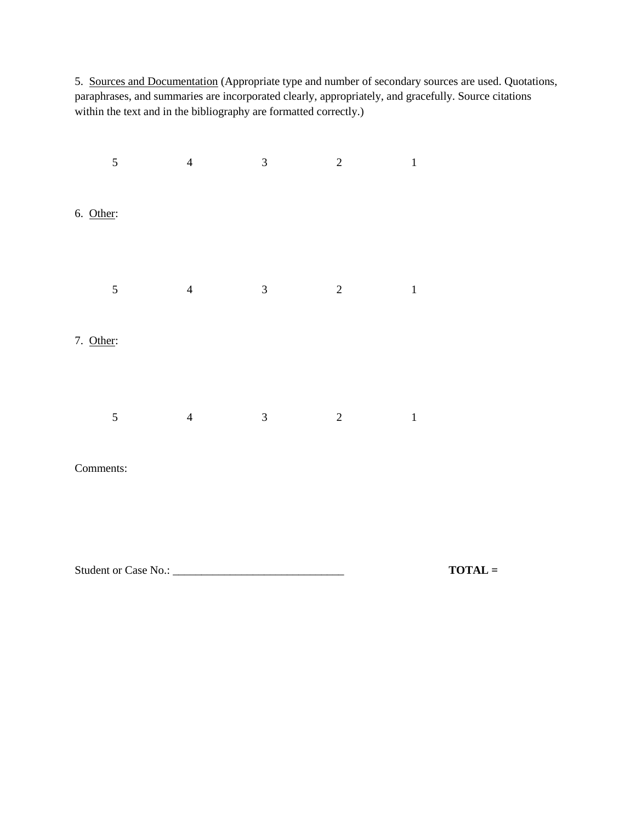5. Sources and Documentation (Appropriate type and number of secondary sources are used. Quotations, paraphrases, and summaries are incorporated clearly, appropriately, and gracefully. Source citations within the text and in the bibliography are formatted correctly.)

| 5                    | $\overline{4}$ | $\mathfrak{Z}$ | $\sqrt{2}$     | $\overline{1}$ |           |
|----------------------|----------------|----------------|----------------|----------------|-----------|
| 6. Other:            |                |                |                |                |           |
| $\mathfrak{S}$       | $\overline{4}$ | $\mathfrak{Z}$ | $\overline{2}$ | $\,$ 1 $\,$    |           |
| 7. Other:            |                |                |                |                |           |
| $\mathfrak s$        | $\overline{4}$ | $\mathfrak{Z}$ | $\sqrt{2}$     | $1\,$          |           |
| Comments:            |                |                |                |                |           |
| Student or Case No.: |                |                |                |                | $TOTAL =$ |